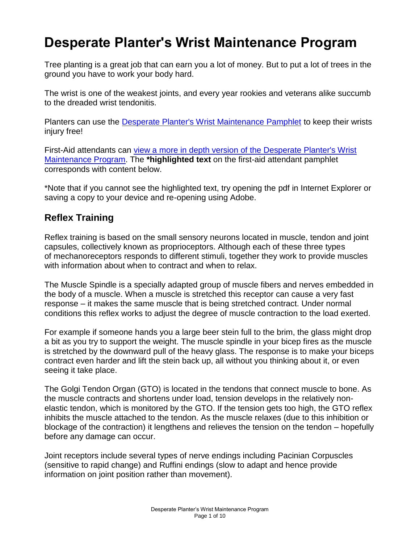# **Desperate Planter's Wrist Maintenance Program**

Tree planting is a great job that can earn you a lot of money. But to put a lot of trees in the ground you have to work your body hard.

The wrist is one of the weakest joints, and every year rookies and veterans alike succumb to the dreaded wrist tendonitis.

Planters can use the [Desperate Planter's Wrist Maintenance Pamphlet](http://selkirk.ca/sites/default/files/Faculty%20Research/Selkirk%20College%20Research%20Wrist%20Pamphlet.pdf) to keep their wrists injury free!

First-Aid attendants can view a more in depth version of the Desperate Planter's Wrist [Maintenance Program.](http://selkirk.ca/sites/default/files/Faculty%20Research/Wrist%20Pamphlet%20version%202.pdf) The **\*highlighted text** on the first-aid attendant pamphlet corresponds with content below.

\*Note that if you cannot see the highlighted text, try opening the pdf in Internet Explorer or saving a copy to your device and re-opening using Adobe.

## **Reflex Training**

Reflex training is based on the small sensory neurons located in muscle, tendon and joint capsules, collectively known as proprioceptors. Although each of these three types of mechanoreceptors responds to different stimuli, together they work to provide muscles with information about when to contract and when to relax.

The Muscle Spindle is a specially adapted group of muscle fibers and nerves embedded in the body of a muscle. When a muscle is stretched this receptor can cause a very fast response – it makes the same muscle that is being stretched contract. Under normal conditions this reflex works to adjust the degree of muscle contraction to the load exerted.

For example if someone hands you a large beer stein full to the brim, the glass might drop a bit as you try to support the weight. The muscle spindle in your bicep fires as the muscle is stretched by the downward pull of the heavy glass. The response is to make your biceps contract even harder and lift the stein back up, all without you thinking about it, or even seeing it take place.

The Golgi Tendon Organ (GTO) is located in the tendons that connect muscle to bone. As the muscle contracts and shortens under load, tension develops in the relatively nonelastic tendon, which is monitored by the GTO. If the tension gets too high, the GTO reflex inhibits the muscle attached to the tendon. As the muscle relaxes (due to this inhibition or blockage of the contraction) it lengthens and relieves the tension on the tendon – hopefully before any damage can occur.

Joint receptors include several types of nerve endings including Pacinian Corpuscles (sensitive to rapid change) and Ruffini endings (slow to adapt and hence provide information on joint position rather than movement).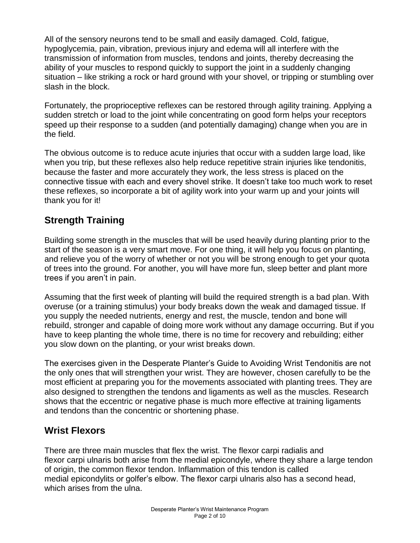All of the sensory neurons tend to be small and easily damaged. Cold, fatigue, hypoglycemia, pain, vibration, previous injury and edema will all interfere with the transmission of information from muscles, tendons and joints, thereby decreasing the ability of your muscles to respond quickly to support the joint in a suddenly changing situation – like striking a rock or hard ground with your shovel, or tripping or stumbling over slash in the block.

Fortunately, the proprioceptive reflexes can be restored through agility training. Applying a sudden stretch or load to the joint while concentrating on good form helps your receptors speed up their response to a sudden (and potentially damaging) change when you are in the field.

The obvious outcome is to reduce acute injuries that occur with a sudden large load, like when you trip, but these reflexes also help reduce repetitive strain injuries like tendonitis, because the faster and more accurately they work, the less stress is placed on the connective tissue with each and every shovel strike. It doesn't take too much work to reset these reflexes, so incorporate a bit of agility work into your warm up and your joints will thank you for it!

# **Strength Training**

Building some strength in the muscles that will be used heavily during planting prior to the start of the season is a very smart move. For one thing, it will help you focus on planting, and relieve you of the worry of whether or not you will be strong enough to get your quota of trees into the ground. For another, you will have more fun, sleep better and plant more trees if you aren't in pain.

Assuming that the first week of planting will build the required strength is a bad plan. With overuse (or a training stimulus) your body breaks down the weak and damaged tissue. If you supply the needed nutrients, energy and rest, the muscle, tendon and bone will rebuild, stronger and capable of doing more work without any damage occurring. But if you have to keep planting the whole time, there is no time for recovery and rebuilding; either you slow down on the planting, or your wrist breaks down.

The exercises given in the Desperate Planter's Guide to Avoiding Wrist Tendonitis are not the only ones that will strengthen your wrist. They are however, chosen carefully to be the most efficient at preparing you for the movements associated with planting trees. They are also designed to strengthen the tendons and ligaments as well as the muscles. Research shows that the eccentric or negative phase is much more effective at training ligaments and tendons than the concentric or shortening phase.

# **Wrist Flexors**

There are three main muscles that flex the wrist. The flexor carpi radialis and flexor carpi ulnaris both arise from the medial epicondyle, where they share a large tendon of origin, the common flexor tendon. Inflammation of this tendon is called medial epicondylits or golfer's elbow. The flexor carpi ulnaris also has a second head, which arises from the ulna.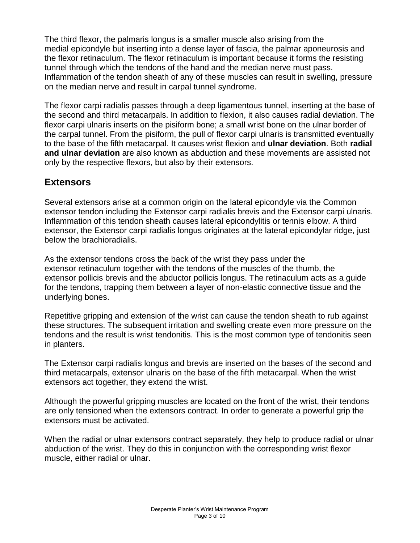The third flexor, the palmaris longus is a smaller muscle also arising from the medial epicondyle but inserting into a dense layer of fascia, the palmar aponeurosis and the flexor retinaculum. The flexor retinaculum is important because it forms the resisting tunnel through which the tendons of the hand and the median nerve must pass. Inflammation of the tendon sheath of any of these muscles can result in swelling, pressure on the median nerve and result in carpal tunnel syndrome.

The flexor carpi radialis passes through a deep ligamentous tunnel, inserting at the base of the second and third metacarpals. In addition to flexion, it also causes radial deviation. The flexor carpi ulnaris inserts on the pisiform bone; a small wrist bone on the ulnar border of the carpal tunnel. From the pisiform, the pull of flexor carpi ulnaris is transmitted eventually to the base of the fifth metacarpal. It causes wrist flexion and **ulnar deviation**. Both **radial and ulnar deviation** are also known as abduction and these movements are assisted not only by the respective flexors, but also by their extensors.

#### **Extensors**

Several extensors arise at a common origin on the lateral epicondyle via the Common extensor tendon including the Extensor carpi radialis brevis and the Extensor carpi ulnaris. Inflammation of this tendon sheath causes lateral epicondylitis or tennis elbow. A third extensor, the Extensor carpi radialis longus originates at the lateral epicondylar ridge, just below the brachioradialis.

As the extensor tendons cross the back of the wrist they pass under the extensor retinaculum together with the tendons of the muscles of the thumb, the extensor pollicis brevis and the abductor pollicis longus. The retinaculum acts as a guide for the tendons, trapping them between a layer of non-elastic connective tissue and the underlying bones.

Repetitive gripping and extension of the wrist can cause the tendon sheath to rub against these structures. The subsequent irritation and swelling create even more pressure on the tendons and the result is wrist tendonitis. This is the most common type of tendonitis seen in planters.

The Extensor carpi radialis longus and brevis are inserted on the bases of the second and third metacarpals, extensor ulnaris on the base of the fifth metacarpal. When the wrist extensors act together, they extend the wrist.

Although the powerful gripping muscles are located on the front of the wrist, their tendons are only tensioned when the extensors contract. In order to generate a powerful grip the extensors must be activated.

When the radial or ulnar extensors contract separately, they help to produce radial or ulnar abduction of the wrist. They do this in conjunction with the corresponding wrist flexor muscle, either radial or ulnar.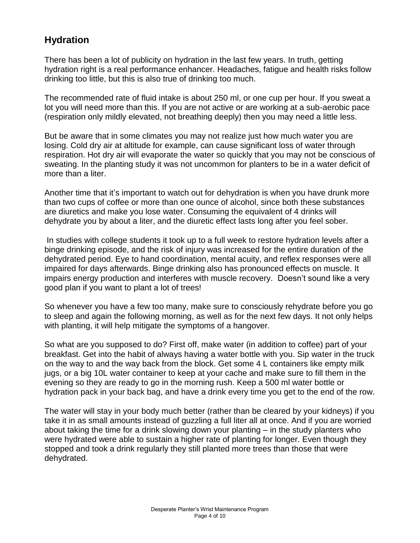## **Hydration**

There has been a lot of publicity on hydration in the last few years. In truth, getting hydration right is a real performance enhancer. Headaches, fatigue and health risks follow drinking too little, but this is also true of drinking too much.

The recommended rate of fluid intake is about 250 ml, or one cup per hour. If you sweat a lot you will need more than this. If you are not active or are working at a sub-aerobic pace (respiration only mildly elevated, not breathing deeply) then you may need a little less.

But be aware that in some climates you may not realize just how much water you are losing. Cold dry air at altitude for example, can cause significant loss of water through respiration. Hot dry air will evaporate the water so quickly that you may not be conscious of sweating. In the planting study it was not uncommon for planters to be in a water deficit of more than a liter.

Another time that it's important to watch out for dehydration is when you have drunk more than two cups of coffee or more than one ounce of alcohol, since both these substances are diuretics and make you lose water. Consuming the equivalent of 4 drinks will dehydrate you by about a liter, and the diuretic effect lasts long after you feel sober.

In studies with college students it took up to a full week to restore hydration levels after a binge drinking episode, and the risk of injury was increased for the entire duration of the dehydrated period. Eye to hand coordination, mental acuity, and reflex responses were all impaired for days afterwards. Binge drinking also has pronounced effects on muscle. It impairs energy production and interferes with muscle recovery. Doesn't sound like a very good plan if you want to plant a lot of trees!

So whenever you have a few too many, make sure to consciously rehydrate before you go to sleep and again the following morning, as well as for the next few days. It not only helps with planting, it will help mitigate the symptoms of a hangover.

So what are you supposed to do? First off, make water (in addition to coffee) part of your breakfast. Get into the habit of always having a water bottle with you. Sip water in the truck on the way to and the way back from the block. Get some 4 L containers like empty milk jugs, or a big 10L water container to keep at your cache and make sure to fill them in the evening so they are ready to go in the morning rush. Keep a 500 ml water bottle or hydration pack in your back bag, and have a drink every time you get to the end of the row.

The water will stay in your body much better (rather than be cleared by your kidneys) if you take it in as small amounts instead of guzzling a full liter all at once. And if you are worried about taking the time for a drink slowing down your planting – in the study planters who were hydrated were able to sustain a higher rate of planting for longer. Even though they stopped and took a drink regularly they still planted more trees than those that were dehydrated.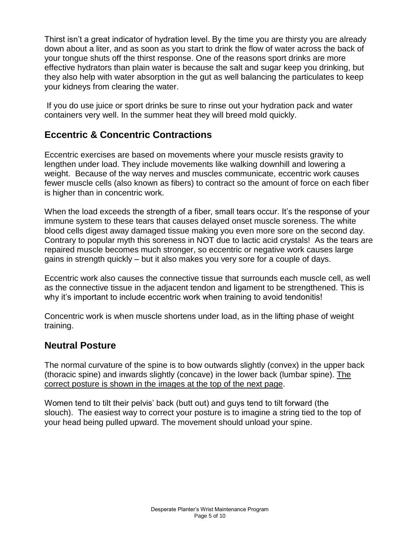Thirst isn't a great indicator of hydration level. By the time you are thirsty you are already down about a liter, and as soon as you start to drink the flow of water across the back of your tongue shuts off the thirst response. One of the reasons sport drinks are more effective hydrators than plain water is because the salt and sugar keep you drinking, but they also help with water absorption in the gut as well balancing the particulates to keep your kidneys from clearing the water.

If you do use juice or sport drinks be sure to rinse out your hydration pack and water containers very well. In the summer heat they will breed mold quickly.

## **Eccentric & Concentric Contractions**

Eccentric exercises are based on movements where your muscle resists gravity to lengthen under load. They include movements like walking downhill and lowering a weight. Because of the way nerves and muscles communicate, eccentric work causes fewer muscle cells (also known as fibers) to contract so the amount of force on each fiber is higher than in concentric work.

When the load exceeds the strength of a fiber, small tears occur. It's the response of your immune system to these tears that causes delayed onset muscle soreness. The white blood cells digest away damaged tissue making you even more sore on the second day. Contrary to popular myth this soreness in NOT due to lactic acid crystals! As the tears are repaired muscle becomes much stronger, so eccentric or negative work causes large gains in strength quickly – but it also makes you very sore for a couple of days.

Eccentric work also causes the connective tissue that surrounds each muscle cell, as well as the connective tissue in the adjacent tendon and ligament to be strengthened. This is why it's important to include eccentric work when training to avoid tendonitis!

Concentric work is when muscle shortens under load, as in the lifting phase of weight training.

#### **Neutral Posture**

The normal curvature of the spine is to bow outwards slightly (convex) in the upper back (thoracic spine) and inwards slightly (concave) in the lower back (lumbar spine). The correct posture is shown in the images at the top of the next page.

Women tend to tilt their pelvis' back (butt out) and guys tend to tilt forward (the slouch). The easiest way to correct your posture is to imagine a string tied to the top of your head being pulled upward. The movement should unload your spine.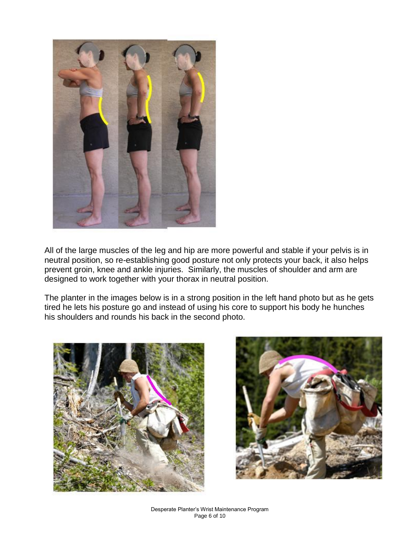

All of the large muscles of the leg and hip are more powerful and stable if your pelvis is in neutral position, so re-establishing good posture not only protects your back, it also helps prevent groin, knee and ankle injuries. Similarly, the muscles of shoulder and arm are designed to work together with your thorax in neutral position.

The planter in the images below is in a strong position in the left hand photo but as he gets tired he lets his posture go and instead of using his core to support his body he hunches his shoulders and rounds his back in the second photo.



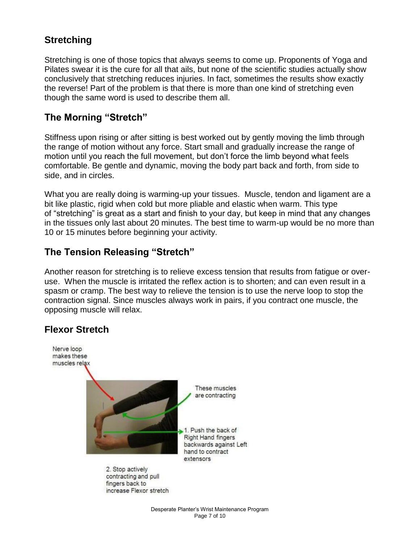## **Stretching**

Stretching is one of those topics that always seems to come up. Proponents of Yoga and Pilates swear it is the cure for all that ails, but none of the scientific studies actually show conclusively that stretching reduces injuries. In fact, sometimes the results show exactly the reverse! Part of the problem is that there is more than one kind of stretching even though the same word is used to describe them all.

#### **The Morning "Stretch"**

Stiffness upon rising or after sitting is best worked out by gently moving the limb through the range of motion without any force. Start small and gradually increase the range of motion until you reach the full movement, but don't force the limb beyond what feels comfortable. Be gentle and dynamic, moving the body part back and forth, from side to side, and in circles.

What you are really doing is warming-up your tissues. Muscle, tendon and ligament are a bit like plastic, rigid when cold but more pliable and elastic when warm. This type of "stretching" is great as a start and finish to your day, but keep in mind that any changes in the tissues only last about 20 minutes. The best time to warm-up would be no more than 10 or 15 minutes before beginning your activity.

#### **The Tension Releasing "Stretch"**

Another reason for stretching is to relieve excess tension that results from fatigue or overuse. When the muscle is irritated the reflex action is to shorten; and can even result in a spasm or cramp. The best way to relieve the tension is to use the nerve loop to stop the contraction signal. Since muscles always work in pairs, if you contract one muscle, the opposing muscle will relax.

#### **Flexor Stretch**

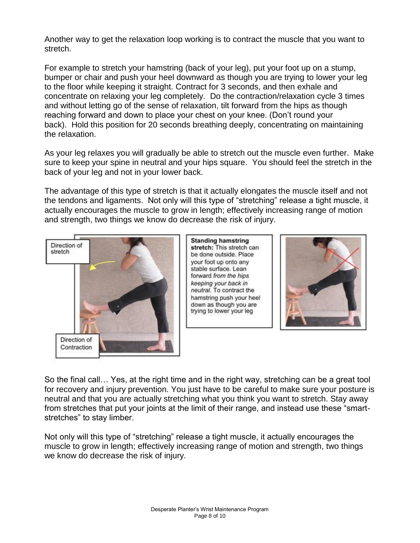Another way to get the relaxation loop working is to contract the muscle that you want to stretch.

For example to stretch your hamstring (back of your leg), put your foot up on a stump, bumper or chair and push your heel downward as though you are trying to lower your leg to the floor while keeping it straight. Contract for 3 seconds, and then exhale and concentrate on relaxing your leg completely. Do the contraction/relaxation cycle 3 times and without letting go of the sense of relaxation, tilt forward from the hips as though reaching forward and down to place your chest on your knee. (Don't round your back). Hold this position for 20 seconds breathing deeply, concentrating on maintaining the relaxation.

As your leg relaxes you will gradually be able to stretch out the muscle even further. Make sure to keep your spine in neutral and your hips square. You should feel the stretch in the back of your leg and not in your lower back.

The advantage of this type of stretch is that it actually elongates the muscle itself and not the tendons and ligaments. Not only will this type of "stretching" release a tight muscle, it actually encourages the muscle to grow in length; effectively increasing range of motion and strength, two things we know do decrease the risk of injury.



**Standing hamstring** stretch: This stretch can be done outside. Place your foot up onto any stable surface. Lean forward from the hips keeping your back in neutral. To contract the hamstring push your heel down as though you are trying to lower your leg



So the final call… Yes, at the right time and in the right way, stretching can be a great tool for recovery and injury prevention. You just have to be careful to make sure your posture is neutral and that you are actually stretching what you think you want to stretch. Stay away from stretches that put your joints at the limit of their range, and instead use these "smartstretches" to stay limber.

Not only will this type of "stretching" release a tight muscle, it actually encourages the muscle to grow in length; effectively increasing range of motion and strength, two things we know do decrease the risk of injury.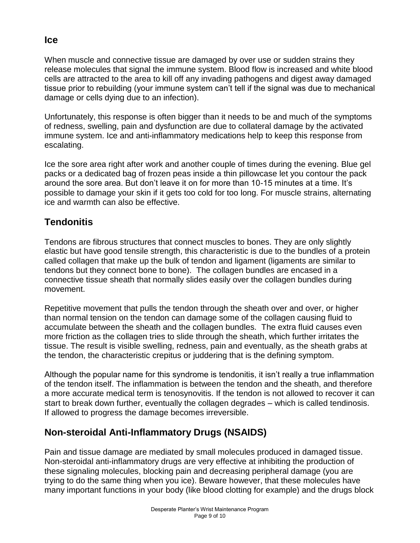When muscle and connective tissue are damaged by over use or sudden strains they release molecules that signal the immune system. Blood flow is increased and white blood cells are attracted to the area to kill off any invading pathogens and digest away damaged tissue prior to rebuilding (your immune system can't tell if the signal was due to mechanical damage or cells dying due to an infection).

Unfortunately, this response is often bigger than it needs to be and much of the symptoms of redness, swelling, pain and dysfunction are due to collateral damage by the activated immune system. Ice and anti-inflammatory medications help to keep this response from escalating.

Ice the sore area right after work and another couple of times during the evening. Blue gel packs or a dedicated bag of frozen peas inside a thin pillowcase let you contour the pack around the sore area. But don't leave it on for more than 10-15 minutes at a time. It's possible to damage your skin if it gets too cold for too long. For muscle strains, alternating ice and warmth can also be effective.

# **Tendonitis**

Tendons are fibrous structures that connect muscles to bones. They are only slightly elastic but have good tensile strength, this characteristic is due to the bundles of a protein called collagen that make up the bulk of tendon and ligament (ligaments are similar to tendons but they connect bone to bone). The collagen bundles are encased in a connective tissue sheath that normally slides easily over the collagen bundles during movement.

Repetitive movement that pulls the tendon through the sheath over and over, or higher than normal tension on the tendon can damage some of the collagen causing fluid to accumulate between the sheath and the collagen bundles. The extra fluid causes even more friction as the collagen tries to slide through the sheath, which further irritates the tissue. The result is visible swelling, redness, pain and eventually, as the sheath grabs at the tendon, the characteristic crepitus or juddering that is the defining symptom.

Although the popular name for this syndrome is tendonitis, it isn't really a true inflammation of the tendon itself. The inflammation is between the tendon and the sheath, and therefore a more accurate medical term is tenosynovitis. If the tendon is not allowed to recover it can start to break down further, eventually the collagen degrades – which is called tendinosis. If allowed to progress the damage becomes irreversible.

# **Non-steroidal Anti-Inflammatory Drugs (NSAIDS)**

Pain and tissue damage are mediated by small molecules produced in damaged tissue. Non-steroidal anti-inflammatory drugs are very effective at inhibiting the production of these signaling molecules, blocking pain and decreasing peripheral damage (you are trying to do the same thing when you ice). Beware however, that these molecules have many important functions in your body (like blood clotting for example) and the drugs block

#### **Ice**